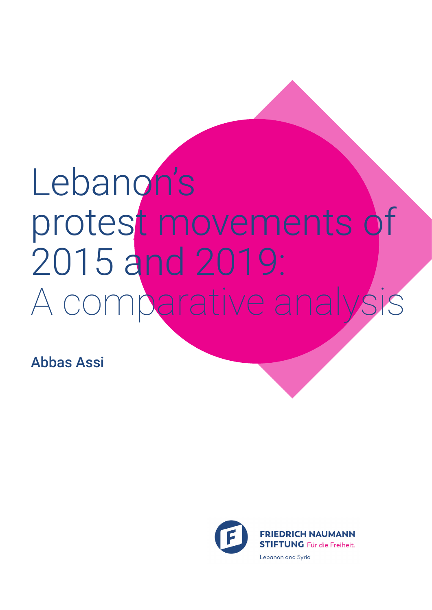# Lebanon's protest movements of 2015 and 2019: A comparative analysi

Abbas Assi

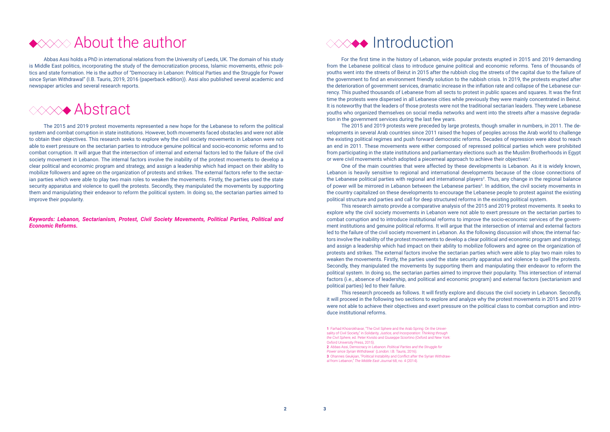### Introduction

The 2015 and 2019 protests were preceded by large protests, though smaller in numbers, in 2011. The developments in several Arab countries since 2011 raised the hopes of peoples across the Arab world to challenge the existing political regimes and push forward democratic reforms. Decades of repression were about to reach an end in 2011. These movements were either composed of repressed political parties which were prohibited from participating in the state institutions and parliamentary elections such as the Muslim Brotherhoods in Egypt or were civil movements which adopted a piecemeal approach to achieve their objectives<sup>1</sup>.

For the first time in the history of Lebanon, wide popular protests erupted in 2015 and 2019 demanding from the Lebanese political class to introduce genuine political and economic reforms. Tens of thousands of youths went into the streets of Beirut in 2015 after the rubbish clog the streets of the capital due to the failure of the government to find an environment friendly solution to the rubbish crisis. In 2019, the protests erupted after the deterioration of government services, dramatic increase in the inflation rate and collapse of the Lebanese currency. This pushed thousands of Lebanese from all sects to protest in public spaces and squares. It was the first time the protests were dispersed in all Lebanese cities while previously they were mainly concentrated in Beirut. It is noteworthy that the leaders of those protests were not the traditional sectarian leaders. They were Lebanese youths who organized themselves on social media networks and went into the streets after a massive degradation in the government services during the last few years.

One of the main countries that were affected by these developments is Lebanon. As it is widely known, Lebanon is heavily sensitive to regional and international developments because of the close connections of the Lebanese political parties with regional and international players<sup>2</sup>. Thus, any change in the regional balance of power will be mirrored in Lebanon between the Lebanese parties<sup>3</sup>. In addition, the civil society movements in the country capitalized on these developments to encourage the Lebanese people to protest against the existing political structure and parties and call for deep structured reforms in the existing political system.

Abbas Assi holds a PhD in international relations from the University of Leeds, UK. The domain of his study is Middle East politics, incorporating the study of the democratization process, Islamic movements, ethnic politics and state formation. He is the author of "Democracy in Lebanon: Political Parties and the Struggle for Power since Syrian Withdrawal" (I.B. Tauris, 2019, 2016 (paperback edition)). Assi also published several academic and newspaper articles and several research reports.

### **Abstract**

This research aimsto provide a comparative analysis of the 2015 and 2019 protest movements. It seeks to explore why the civil society movements in Lebanon were not able to exert pressure on the sectarian parties to combat corruption and to introduce institutional reforms to improve the socio-economic services of the government institutions and genuine political reforms. It will argue that the intersection of internal and external factors led to the failure of the civil society movement in Lebanon. As the following discussion will show, the internal factors involve the inability of the protest movements to develop a clear political and economic program and strategy, and assign a leadership which had impact on their ability to mobilize followers and agree on the organization of protests and strikes. The external factors involve the sectarian parties which were able to play two main roles to weaken the movements. Firstly, the parties used the state security apparatus and violence to quell the protests. Secondly, they manipulated the movements by supporting them and manipulating their endeavor to reform the political system. In doing so, the sectarian parties aimed to improve their popularity. This intersection of internal factors (i.e., absence of leadership, and political and economic program) and external factors (sectarianism and political parties) led to their failure.

This research proceeds as follows. It will firstly explore and discuss the civil society in Lebanon. Secondly, it will proceed in the following two sections to explore and analyze why the protest movements in 2015 and 2019 were not able to achieve their objectives and exert pressure on the political class to combat corruption and introduce institutional reforms.



The 2015 and 2019 protest movements represented a new hope for the Lebanese to reform the political system and combat corruption in state institutions. However, both movements faced obstacles and were not able to obtain their objectives. This research seeks to explore why the civil society movements in Lebanon were not able to exert pressure on the sectarian parties to introduce genuine political and socio-economic reforms and to combat corruption. It will argue that the intersection of internal and external factors led to the failure of the civil society movement in Lebanon. The internal factors involve the inability of the protest movements to develop a clear political and economic program and strategy, and assign a leadership which had impact on their ability to mobilize followers and agree on the organization of protests and strikes. The external factors refer to the sectarian parties which were able to play two main roles to weaken the movements. Firstly, the parties used the state security apparatus and violence to quell the protests. Secondly, they manipulated the movements by supporting them and manipulating their endeavor to reform the political system. In doing so, the sectarian parties aimed to improve their popularity.

*Keywords: Lebanon, Sectarianism, Protest, Civil Society Movements, Political Parties, Political and Economic Reforms.*

<sup>3</sup> Ohannes Geukjian, "Political Instability and Conflict after the Syrian Withdrawal from Lebanon," *The Middle East Journal* 68, no. 4 (2014).

<sup>1</sup> Farhad Khosrokhavar, "The Civil Sphere and the Arab Spring: On the Universality of Civil Society," in *Solidarity, Justice, and Incorporation: Thinking through the Civil Sphere*, ed. Peter Kivisto and Giuseppe Sciortino (Oxford and New York: Oxford University Press, 2015).

<sup>2</sup> Abbas Assi, Democracy in Lebanon: *Political Parties and the Struggle for Power since Syrian Withdrawal* (London: I.B. Tauris, 2016).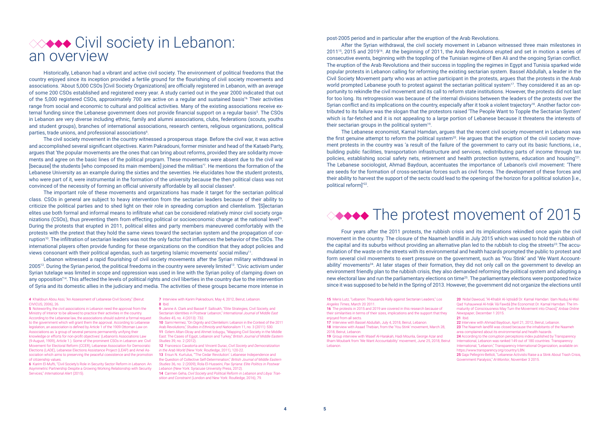# **<sup>≪→◆◆</sup> Civil society in Lebanon:** an overview

Historically, Lebanon had a vibrant and active civil society. The environment of political freedoms that the country enjoyed since its inception provided a fertile ground for the flourishing of civil society movements and associations. 'About 5,000 CSOs [Civil Society Organizations] are officially registered in Lebanon, with an average of some 200 CSOs established and registered every year. A study carried out in the year 2000 indicated that out of the 5,000 registered CSOs, approximately 700 are active on a regular and sustained basis'<sup>4</sup>. Their activities range from social and economic to cultural and political activities. Many of the existing associations receive external funding since the Lebanese government does not provide financial support on a regular basis<sup>5</sup>. The CSOs in Lebanon are very diverse including ethnic, family and alumni associations, clubs, federations (scouts, youths and student groups), branches of international associations, research centers, religious organizations, political parties, trade unions, and professional associations<sup>6</sup>.

The civil society movement in the country witnessed a prosperous stage. Before the civil war, it was active and accomplished several significant objectives. Karim Pakradouni, former minister and head of the Kataeb Party, argues that 'the popular movements are the ones that can bring about reforms, provided they are solidarity movements and agree on the basic lines of the political program. These movements were absent due to the civil war [because] the students [who composed its main members] joined the militias'7 . He mentions the formation of the Lebanese University as an example during the sixties and the seventies. He elucidates how the student protests, who were part of it, were instrumental in the formation of the university because the then political class was not convinced of the necessity of forming an official university affordable by all social classes $^{\text{\tiny{8}}}$ .

The important role of these movements and organizations has made it target for the sectarian political class. CSOs in general are subject to heavy intervention from the sectarian leaders because of their ability to criticize the political parties and to shed light on their role in spreading corruption and clientelism. '[S]ectarian elites use both formal and informal means to infiltrate what can be considered relatively minor civil society organizations (CSOs), thus preventing them from effecting political or socioeconomic change at the national level'9 . During the protests that erupted in 2011, political elites and party members maneuvered comfortably with the protests with the pretext that they hold the same views toward the sectarian system and the propagation of corruption<sup>10</sup>. The infiltration of sectarian leaders was not the only factor that influences the behavior of the CSOs. The international players often provide funding for these organizations on the condition that they adopt policies and views consonant with their political agendas, such as targeting Islamic movements' social milieu11.

- 9 Janine A. Clark and Bassel F. Salloukh, "Elite Strategies, Civil Society, and Sectarian Identities in Postwar Lebanon," *International Journal of Middle East Studies* 45, no. 4 (2013): 732.
- 10 Sami Hermez, "On Dignity and Clientelism: Lebanon in the Context of the 2011 Arab Revolutions," *Studies in Ethnicity and Nationalism* 11, no. 3 (2011): 530. 11 Ozlem Altan-Olcay and Ahmet Icduygu, "Mapping Civil Society in the Middle East: The Cases of Egypt, Lebanon and Turkey," *British Journal of Middle Eastern Studies* 39, no. 2 (2012).
- 12 Francesco Cavatorta and Vincent Durac, *Civil Society and Democratization in the Arab World* (New York: Routledge, 2011), 120-22.
- 13 Ersun N. Kurtulus, "'The Cedar Revolution': Lebanese Independence and the Question of Collective Self-Determination," *British Journal of Middle Eastern Studies* 36, no. 2 (2009); Rola El-Husseini, *Pax Syriana: Elite Politics in Postwar Lebanon* (New York: Syracuse University Press, 2012).
- 14 Carmen Geha, *Civil Society and Political Reform in Lebanon and Libya: Transition and Constraint* (London and New York: Routledge, 2016), 79.

After the Syrian withdrawal, the civil society movement in Lebanon witnessed three main milestones in 201115, 2015 and 201916. At the beginning of 2011, the Arab Revolutions erupted and set in motion a series of consecutive events, beginning with the toppling of the Tunisian regime of Ben Ali and the ongoing Syrian conflict. The eruption of the Arab Revolutions and their success in toppling the regimes in Egypt and Tunisia sparked wide popular protests in Lebanon calling for reforming the existing sectarian system. Bassel Abdullah, a leader in the Civil Society Movement party who was an active participant in the protests, argues that the protests in the Arab world prompted Lebanese youth to protest against the sectarian political system<sup>17</sup>. They considered it as an opportunity to rekindle the civil movement and its call to reform state institutions. However, the protests did not last for too long. Its retrogression was because of the internal divisions between the leaders of the protests over the Syrian conflict and its implications on the country, especially after it took a violent trajectory18. Another factor contributed to its failure was the slogan that the protestors raised 'The People Want to Topple the Sectarian System' which is far-fetched and it is not appealing to a large portion of Lebanese because it threatens the interests of their sectarian groups in the political system<sup>19</sup>.

Lebanon witnessed a rapid flourishing of civil society movements after the Syrian military withdrawal in 200512. During the Syrian period, the political freedoms in the country were severely limited13. 'Civic activism under Syrian tutelage was limited in scope and oppression was used in line with the Syrian policy of clamping down on any opposition'14. This affected the levels of political rights and civil liberties in the country due to the intervention of Syria and its domestic allies in the judiciary and media. The activities of these groups became more intense in

6 Karim El-Mufti, "Civil Society's Role in Security Sector Reform in Lebanon: An Asymmetric Partnership Despite a Growing Working Relationship with Security Services," *International Alert* (2015).

7 Interview with Karim Pakradouni, May 4, 2012, Beirut, Lebanon. 8 Ibid.

post-2005 period and in particular after the eruption of the Arab Revolutions.

The Lebanese economist, Kamal Hamdan, argues that the recent civil society movement in Lebanon was the first genuine attempt to reform the political system<sup>20</sup>. He argues that the eruption of the civil society movement protests in the country was 'a result of the failure of the government to carry out its basic functions, i.e., building public facilities, transportation infrastructure and services, redistributing parts of income through tax policies, establishing social safety nets, retirement and health protection systems, education and housing'21. The Lebanese sociologist, Ahmad Baydoun, accentuates the importance of Lebanon's civil movement: 'There are seeds for the formation of cross-sectarian forces such as civil forces. The development of these forces and their ability to harvest the support of the sects could lead to the opening of the horizon for a political solution [i.e., political reform]'22.



Four years after the 2011 protests, the rubbish crisis and its implications rekindled once again the civil movement in the country. The closure of the Naameh landfill in July 2015 which was used to hold the rubbish of the capital and its suburbs without providing an alternative plan led to the rubbish to clog the streets<sup>23</sup>. The accumulation of the waste on the streets with its environmental and health hazards prompted the public to protest and form several civil movements to exert pressure on the government, such as 'You Stink' and 'We Want Accountability' movements<sup>24</sup>. At later stages of their formation, they did not only call on the government to develop an environment friendly plan to the rubbish crisis, they also demanded reforming the political system and adopting a new electoral law and run the parliamentary elections on time25. The parliamentary elections were postponed twice since it was supposed to be held in the Spring of 2013. However, the government did not organize the elections until

<sup>5</sup> Noteworthy, the civil associations in Lebanon need the approval from the Ministry of Interior to be allowed to practice their activities in the country. According to the Lebanese law, the associations should submit a formal request to the government which will grant them the approval. According to Lebanese legislation, an association is defined by Article 1 of the 1909 Ottoman Law on Associations as 'a group of several persons permanently unifying their knowledge or efforts for non-profit objectives' (Lebanon's Associations Law (9-August, 1909), Article 1.). Some of the prominent CSOs in Lebanon are: Civil Movement for Electoral Reform (CCER), Lebanese Association for Democratic Elections (LADE), Lebanese Elections Assistance Project (LEAP) and Amel Association which aims to preserving the peaceful coexistence and the promotion of citizenship values.

<sup>4</sup> Khaldoun Abou Assi, "An Assessment of Lebanese Civil Society," (Beirut: CIVICUS, 2006), 26.

<sup>17</sup> Interview with Bassel Abdullah, July 4, 2018, Beirut, Lebanon. 18 Interview with Asaad Thebian, from the 'You Stink' movement, March 28, 2018, Beirut, Lebanon.

<sup>19</sup> Group interview with Wasef Al-Harakah, Hadi Mounla, George Azar and Ilham Moubark from 'We Want Accountability' movement, June 25, 2018, Beirut Lebanon.

<sup>24</sup> According to the corruption perceptions index published by Transparency International, Lebanon was ranked 149 out of 180 countries. Transparency

International, "Lebanon," Transparency International Organization, available on: https://www.transparency.org/country/LBN

<sup>25</sup> Gaja Pellegrini-Bettoli, "Lebanese Activists Raise a a Stink About Trash Crisis Government Paralysis," *Al-Monitor*, November 3 2015.

<sup>15</sup> Meris Lutz, "Lebanon: Thousands Rally against Sectarian Leaders," *Los Angeles Times*, March 20 2011.

<sup>16</sup> The protests in 2015 and 2019 are covered in this research because of their similarities in terms of their sizes, implications and the support that they enjoyed from all sects.

<sup>20</sup> Nidal Dawoud, "Al-Khabīr Al-'iqtisādī Dr. Kamal Hamdan: 'dam Nuduj Al-Wa'i Qad Yuhauwwal Al-hrāk 'ilā Fawdā [the Economist Dr. Kamal Hamdan: The Immaturity of Consciousness May Turn the Movement into Chaos]," *Anbaa Online Newspaper*, December 1 2015.

<sup>21</sup> Ibid.

<sup>22</sup> Interview with Ahmad Baydoun, April 21, 2012, Beirut, Lebanon.

<sup>23</sup> The Naameh landfill was closed because the inhabitants of the Naameh

area complained about its environmental and health hazards.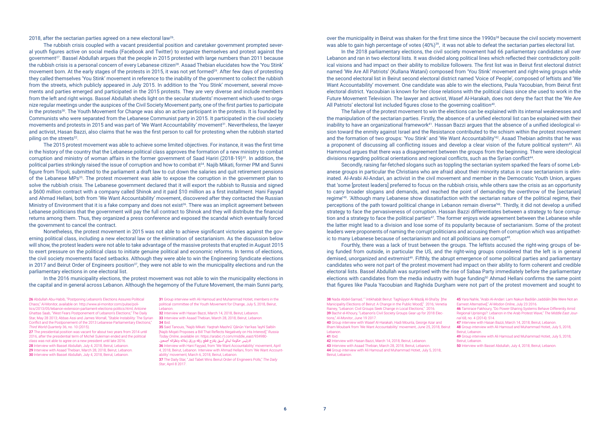2018, after the sectarian parties agreed on a new electoral law<sup>26</sup>.

The rubbish crisis coupled with a vacant presidential position and caretaker government prompted several youth figures active on social media (Facebook and Twitter) to organize themselves and protest against the government<sup>27</sup>. Bassel Abdullah argues that the people in 2015 protested with large numbers than 2011 because the rubbish crisis is a personal concern of every Lebanese citizen<sup>28</sup>. Asaad Thebian elucidates how the 'You Stink' movement born. At the early stages of the protests in 2015, it was not yet formed<sup>29</sup>. After few days of protesting they called themselves 'You Stink' movement in reference to the inability of the government to collect the rubbish from the streets, which publicly appeared in July 2015. In addition to the 'You Stink' movement, several movements and parties emerged and participated in the 2015 protests. They are very diverse and include members from the left and right wings. Bassel Abdullah sheds light on the secular students' movement which used to organize regular meetings under the auspices of the Civil Society Movement party, one of the first parties to participate in the protests<sup>30</sup>. The Youth Movement for Change was also an active participant in the protests. It is founded by Communists who were separated from the Lebanese Communist party in 2015. It participated in the civil society movements and protests in 2015 and was part of 'We Want Accountability' movement<sup>31</sup>. Nevertheless, the lawyer and activist, Hasan Bazzi, also claims that he was the first person to call for protesting when the rubbish started piling on the streets<sup>32</sup>.

In the 2016 municipality elections, the protest movement was not able to win the municipality elections in the capital and in general across Lebanon. Although the hegemony of the Future Movement, the main Sunni party,

The 2015 protest movement was able to achieve some limited objectives. For instance, it was the first time in the history of the country that the Lebanese political class approves the formation of a new ministry to combat corruption and ministry of woman affairs in the former government of Saad Hariri (2018-19)<sup>33</sup>. In addition, the political parties strikingly raised the issue of corruption and how to combat it<sup>34</sup>. Najib Mikati, former PM and Sunni figure from Tripoli, submitted to the parliament a draft law to cut down the salaries and quit retirement pensions of the Lebanese MPs<sup>35</sup>. The protest movement was able to expose the corruption in the government plan to solve the rubbish crisis. The Lebanese government declared that it will export the rubbish to Russia and signed a \$600 million contract with a company called Shinok and it paid \$10 million as a first installment. Hani Fayyad and Ahmad Hellani, both from 'We Want Accountability' movement, discovered after they contacted the Russian Ministry of Environment that it is a fake company and does not exist<sup>36</sup>. There was an implicit agreement between Lebanese politicians that the government will pay the full contract to Shinok and they will distribute the financial returns among them. Thus, they organized a press conference and exposed the scandal which eventually forced the government to cancel the contract.

27 The presidential position was vacant for about two years from 2014 until 2016, after the presidential term of Michel Suleiman ended and the political class was not able to agree on a new president until late 2016. 28 Interview with Bassel Abdullah, July 4, 2018, Beirut, Lebanon. 29 Interview with Asaad Thebian, March 28, 2018, Beirut, Lebanon. 30 Interview with Bassel Abdullah, July 4, 2018, Beirut, Lebanon.

The failure of the protest movement to win the elections can be explained with its internal weaknesses and the manipulation of the sectarian parties. Firstly, the absence of a unified electoral list can be explained with their inability to have an organizational framework<sup>41</sup>. Hassan Bazzi argues that the absence of a unified ideological vision toward the enmity against Israel and the Resistance contributed to the schism within the protest movement and the formation of two groups: 'You Stink' and 'We Want Accountability'<sup>42</sup>. Asaad Thebian admits that he was a proponent of discussing all conflicting issues and develop a clear vision of the future political system<sup>43</sup>. Ali Hammoud argues that there was a disagreement between the groups from the beginning. There were ideological divisions regarding political orientations and regional conflicts, such as the Syrian conflict<sup>44</sup>.

Nonetheless, the protest movement in 2015 was not able to achieve significant victories against the governing political class, including a new electoral law or the elimination of sectarianism. As the discussion below will show, the protest leaders were not able to take advantage of the massive protests that erupted in August 2015 to exert pressure on the political class to initiate genuine political and economic reforms. In terms of elections, the civil society movements faced setbacks. Although they were able to win the Engineering Syndicate elections in 2017 and Beirut Order of Engineers position<sup>37</sup>, they were not able to win the municipality elections and run the parliamentary elections in one electoral list.

Secondly, raising far-fetched slogans such as toppling the sectarian system sparked the fears of some Lebanese groups in particular the Christians who are afraid about their minority status in case sectarianism is eliminated. Al-Arabi Al-Andari, an activist in the civil movement and member in the Democratic Youth Union, argues that 'some [protest leaders] preferred to focus on the rubbish crisis, while others saw the crisis as an opportunity to carry broader slogans and demands, and reached the point of demanding the overthrow of the [sectarian] regime'45. 'Although many Lebanese show dissatisfaction with the sectarian nature of the political regime, their perceptions of the path toward political change in Lebanon remain diverse'46. Thirdly, it did not develop a unified strategy to face the pervasiveness of corruption. Hassan Bazzi differentiates between a strategy to face corruption and a strategy to face the political parties<sup>47</sup>. The former enjoys wide agreement between the Lebanese while the latter might lead to a division and lose some of its popularity because of sectarianism. Some of the protest leaders were proponents of naming the corrupt politicians and accusing them of corruption which was antipathetic to many Lebanese because of sectarianism and not all politicians are corrupt<sup>48</sup>.

26 Abdullah Abu-Habib, "Postponing Lebanon's Elections Assures Political Chaos," Al-Monitor, available on: http://www.al-monitor.com/pulse/politics/2013/05/lebanon-extension-parliament-elections-politics.html; Antoine Ghattas Saab, "West Fears Postponement of Lebanon's Elections," The Daily Star, May 28 2013; Abbas Assi and James Worrall, "Stable Instability: The Syrian Conflict and the Postponement of the 2013 Lebanese Parliamentary Elections," *Third World Quarterly* 36, no. 10 (2015).

31 Group interview with Ali Hamoud and Muhammad Hotiet, members in the political committee of the Youth Movement for Change, July 5, 2018, Beirut, Lebanon.

32 Interview with Hasan Bazzi, March 14, 2018, Beirut, Lebanon.

In the 2018 parliamentary elections, the civil society movement had 66 parliamentary candidates all over Lebanon and ran in two electoral lists. It was divided along political lines which reflected their contradictory political visions and had impact on their ability to mobilize followers. The first list was in Beirut first electoral district named 'We Are All Patriots' (Kullana Watani) composed from 'You Stink' movement and right-wing groups while the second electoral list in Beirut second electoral district named 'Voice of People', composed of leftists and 'We Want Accountability' movement. One candidate was able to win the elections, Paula Yacoubian, from Beirut first electoral district. Yacoubian is known for her close relations with the political class since she used to work in the Future Movement Television. The lawyer and activist, Wasef Al-Harakah, does not deny the fact that the 'We Are All Patriots' electoral list included figures close to the governing coalition40.

37 The Daily Star, "Jad Tabet Wins Beirut Order of Engineers Polls," The Daily *Star*, April 8 2017.

over the municipality in Beirut was shaken for the first time since the 1990s<sup>38</sup> because the civil society movement was able to gain high percentage of votes (40%)<sup>39</sup>, it was not able to defeat the sectarian parties electoral list.

Fourthly, there was a lack of trust between the groups. The leftists accused the right-wing groups of being funded from outside, in particular the US, and the right-wing groups considered that the left is in general demised, unorganized and extremist<sup>49</sup>. Fifthly, the abrupt emergence of some political parties and parliamentary candidates who were not part of the protest movement had impact on their ability to form coherent and credible electoral lists. Bassel Abdullah was surprised with the rise of Sabaa Party immediately before the parliamentary elections with candidates from the media industry with huge funding<sup>50</sup> Ahmad Hellani confirms the same point that figures like Paula Yacoubian and Raghida Durgham were not part of the protest movement and sought to

38 Nada Abdel-Samad, " 'intikhabāt Beirut: Taghūyyor Al-Mazāj Al-Sha'by [the Manicipality Elections of Beirut: A Change in the Public Mood]," 2016; Venetia Rainey, "Lebanon: Civil Groups Seek Change in Local Elections," 2016. 39 Bachir el-Khoury, "Lebanon's Civil Society Groups Gear up for 2018 Flections," *Al-Monitor*, June 19 2017.

40 Group interview with Wasef Al-Harakah, Hadi Mounla, George Azar and Ilham Moubark from 'We Want Accountability' movement, June 25, 2018, Beirut Lebanon.

41 Ibid.

Interview with Hasan Bazzi, March 14, 2018, Beirut, Lebanon. Interview with Asaad Thebian, March 28, 2018, Beirut, Lebanon. Group interview with Ali Hamoud and Muhammad Hotiet, July 5, 2018, Beirut, Lebanon.

33 Interview with Asaad Thebian, March 28, 2018, Beirut, Lebanon. 34 Ibid.

35 Said Tanouis, "Najib Mikati: Yaqtrah Mashrū' Qānūn Yan'kas 'layhī Salbīn [Najib Miqati Proposes a Bill That Reflects Negatively on His Interest]," *Russia Today Online*, available on: https://arabic.rt.com/middle\_east/934980- # رئيس حكومة لبناين أسبق يقرتح قطع رزقه ورزق زمالئه ونظرائه أجمعني.

36 Interview with Hani Fayyad, from 'We Want Accountability' movement, April 4, 2018, Beirut, Lebanon. Interview with Ahmad Hellani, from 'We Want Accountability' movement, March 6, 2018, Beirut, Lebanon.

<sup>48</sup> Group interview with Ali Hamoud and Muhammad Hotiet, July 5, 2018, Beirut, Lebanon.

<sup>45</sup> Yara Nahle, "Arabi Al-Andari: Lam Nakun Badilān Jaddiāīn [We Were Not an Earnest Alternative]," *Al-Modon Online*, July 23 2016.

<sup>46</sup> Tamirace Fakhoury, "Do Power-Sharing Systems Behave Differently Amid Regional Uprisings?: Lebanon in the Arab Protest Wave," *The Middle East Journal* 68, no. 4 (2014): 514.

<sup>47</sup> Interview with Hasan Bazzi, March 14, 2018, Beirut, Lebanon.

<sup>49</sup> Group interview with Ali Hamoud and Muhammad Hotiet, July 5, 2018, Beirut, Lebanon.

<sup>50</sup> Interview with Bassel Abdullah, July 4, 2018, Beirut, Lebanon.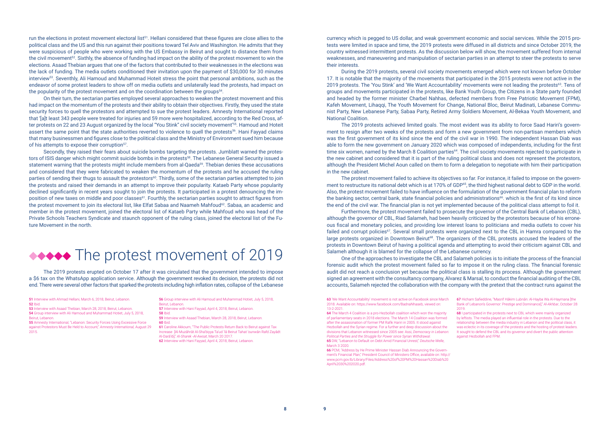run the elections in protest movement electoral list<sup>51</sup>. Hellani considered that these figures are close allies to the political class and the US and this run against their positions toward Tel Aviv and Washington. He admits that they were suspicious of people who were working with the US Embassy in Beirut and sought to distance them from the civil movement<sup>52</sup>. Sixthly, the absence of funding had impact on the ability of the protest movement to win the elections. Asaad Thebian argues that one of the factors that contributed to their weaknesses in the elections was the lack of funding. The media outlets conditioned their invitation upon the payment of \$30,000 for 30 minutes interview53. Seventhly, Ali Hamoud and Muhammad Hoteit stress the point that personal ambitions, such as the endeavor of some protest leaders to show off on media outlets and unilaterally lead the protests, had impact on the popularity of the protest movement and on the coordination between the groups<sup>54</sup>.

On their turn, the sectarian parties employed several approaches to weaken the protest movement and this had impact on the momentum of the protests and their ability to obtain their objectives. Firstly, they used the state security forces to quell the protestors and attempted to sue the protest leaders. Amnesty International reported that '[a]t least 343 people were treated for injuries and 59 more were hospitalized, according to the Red Cross, after protests on 22 and 23 August organized by the local "You Stink" civil society movement'55. Hamoud and Hoteit assert the same point that the state authorities reverted to violence to quell the protests<sup>56</sup>. Hani Fayyad claims that many businessmen and figures close to the political class and the Ministry of Environment sued him because of his attempts to expose their corruption<sup>57</sup>.

Secondly, they raised their fears about suicide bombs targeting the protests. Jumblatt warned the protestors of ISIS danger which might commit suicide bombs in the protests<sup>58</sup>. The Lebanese General Security issued a statement warning that the protests might include members from al-Qaeda<sup>59</sup>. Thebian denies these accusations and considered that they were fabricated to weaken the momentum of the protests and he accused the ruling parties of sending their thugs to assault the protestors<sup>60</sup>. Thirdly, some of the sectarian parties attempted to join the protests and raised their demands in an attempt to improve their popularity. Kataeb Party whose popularity declined significantly in recent years sought to join the protests. It participated in a protest denouncing the imposition of new taxes on middle and poor classes<sup>61</sup>. Fourthly, the sectarian parties sought to attract figures from the protest movement to join its electoral list, like Elfat Sabaa and Naameh Mahfoud<sup>62</sup>. Sabaa, an academic and member in the protest movement, joined the electoral list of Kataeb Party while Mahfoud who was head of the Private Schools Teachers Syndicate and staunch opponent of the ruling class, joined the electoral list of the Future Movement in the north.

### ◆◆◆◆◆ The protest movement of 2019

The 2019 protests erupted on October 17 after it was circulated that the government intended to impose a \$6 tax on the WhatsApp application service. Although the government revoked its decision, the protests did not end. There were several other factors that sparked the protests including high inflation rates, collapse of the Lebanese

- 51 Interview with Ahmad Hellani, March 6, 2018, Beirut, Lebanon. 52 Ibid.
- 53 Interview with Asaad Thebian, March 28, 2018, Beirut, Lebanon. 54 Group interview with Ali Hamoud and Muhammad Hotiet, July 5, 2018,

Beirut, Lebanon. 55 Amnesty International, "Lebanon: Security Forces Using Excessive Force

against Protestors Must Be Held to Account," *Amnesty International,* August 29 2015.

- 56 Group interview with Ali Hamoud and Muhammad Hotiet, July 5, 2018, Beirut, Lebanon.
- 57 Interview with Hani Fayyad, April 4, 2018, Beirut, Lebanon.
- 58 Ibid.

59 Interview with Asaad Thebian, March 28, 2018, Beirut, Lebanon. 60 Ibid.

61 Caroline Akkoum, "The Public Protests Return Back to Beirut against Tax Increase [Al-Muzāhrāt Al-Sha'biyya Ta'ud 'lā Beirut Tahat 'ounwān Rafd Zayādt Al-Darā'ib]," *Al-Sharek -Al-Awsat*, March 20 2017. 62 Interview with Hani Fayyad, April 4, 2018, Beirut, Lebanon.

currency which is pegged to US dollar, and weak government economic and social services. While the 2015 protests were limited in space and time, the 2019 protests were diffused in all districts and since October 2019, the country witnessed intermittent protests. As the discussion below will show, the movement suffered from internal weaknesses, and maneuvering and manipulation of sectarian parties in an attempt to steer the protests to serve their interests.

During the 2019 protests, several civil society movements emerged which were not known before October 17. It is notable that the majority of the movements that participated in the 2015 protests were not active in the 2019 protests. The 'You Stink' and 'We Want Accountability' movements were not leading the protests<sup>63</sup>. Tens of groups and movements participated in the protests, like Bank Youth Group, the Citizens in a State party founded and headed by the former minister Charbel Nahhas, defected members from Free Patriotic Movement (FPM), Kafeh Movement, Lihaqqi, The Youth Movement for Change, National Bloc, Beirut Madinati, Lebanese Communist Party, New Lebanese Party, Sabaa Party, Retired Army Soldiers Movement, Al-Bekaa Youth Movement, and National Coalition.

The 2019 protests achieved limited goals. The most evident was its ability to force Saad Hariri's government to resign after two weeks of the protests and form a new government from non-partisan members which was the first government of its kind since the end of the civil war in 1990. The independent Hassan Diab was able to form the new government on January 2020 which was composed of independents, including for the first time six women, named by the March 8 Coalition parties64. The civil society movements rejected to participate in the new cabinet and considered that it is part of the ruling political class and does not represent the protestors, although the President Michel Aoun called on them to form a delegation to negotiate with him their participation in the new cabinet.

The protest movement failed to achieve its objectives so far. For instance, it failed to impose on the government to restructure its national debt which is at 170% of GDP<sup>65</sup>, the third highest national debt to GDP in the world. Also, the protest movement failed to have influence on the formulation of the government financial plan to reform the banking sector, central bank, state financial policies and administrations<sup>66</sup>. which is the first of its kind since the end of the civil war. The financial plan is not yet implemented because of the political class attempt to foil it. Furthermore, the protest movement failed to prosecute the governor of the Central Bank of Lebanon (CBL), although the governor of CBL, Riad Salameh, had been heavily criticized by the protestors because of his erroneous fiscal and monetary policies, and providing low interest loans to politicians and media outlets to cover his failed and corrupt policies<sup>67</sup>. Several small protests were organized next to the CBL in Hamra compared to the large protests organized in Downtown Beirut<sup>68</sup>. The organizers of the CBL protests accused the leaders of the protests in Downtown Beirut of having a political agenda and attempting to avoid their criticism against CBL and Salameh although it is blamed for the collapse of the Lebanese currency.

One of the approaches to investigate the CBL and Salameh policies is to initiate the process of the financial forensic audit which the protest movement failed so far to impose it on the ruling class. The financial forensic audit did not reach a conclusion yet because the political class is stalling its process. Although the government signed an agreement with the consultancy company, Alvarez & Marsal, to conduct the financial auditing of the CBL accounts, Salameh rejected the collaboration with the company with the pretext that the contract runs against the

66 PCM, "Address by He Prime Minister Hassan Diab Announcing the Government's Financial Plan," President Council of Ministers Office, available on: http:// www.pcm.gov.lb/Library/Files/Address%20of%20PM%20Hassan%20Diab%20 April%2030%202020.pdf.

<sup>67</sup> Hicham Safieddine, "Masrif Hākim Lubnān: Al-Hayba Wa Al-Haymana [the Bank of Lebanon's Governor: Prestige and Dominance]," *Al-Akhbar*, October 28

<sup>68</sup> I participated in the protests next to CBL which were mainly organized by leftists. The media played an influential role in the protests. Due to the relationship between the media industry in Lebanon and the political class, it was eclectic in its coverage of the protests and the hosting of protest leaders. It sought to defend the CBL and its governor and divert the public attention against Hezbollah and FPM.

<sup>63</sup> 'We Want Accountability' movement is not active on Facebook since March 2018. Available on: https://www.facebook.com/BadnaNhaseb, viewed on: 13-2-2021.

<sup>64</sup> The March 4 Coalition is a pro-Hezbollah coalition which won the majority of parliamentary seats in 2018 elections. The March 14 Coalition was formed after the assassination of former PM Rafik Hariri in 2005. It stood against Hezbollah and the Syrian regime. For a further and deep discussion about the divisions that Lebanon witnessed since 2005 see: Assi, *Democracy in Lebanon: Political Parties and the Struggle for Power since Syrian Withdrawal.* 65 DW, "Lebanon to Default on Debt Amid Financial Unrest," *Deutsche Welle*, March 3 2020.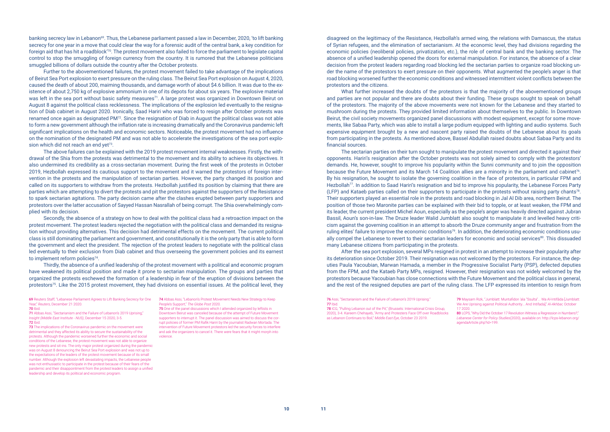banking secrecy law in Lebanon<sup>69</sup>. Thus, the Lebanese parliament passed a law in December, 2020, 'to lift banking secrecy for one year in a move that could clear the way for a forensic audit of the central bank, a key condition for foreign aid that has hit a roadblock'70. The protest movement also failed to force the parliament to legislate capital control to stop the smuggling of foreign currency from the country. It is rumored that the Lebanese politicians smuggled billions of dollars outside the country after the October protests.

Further to the abovementioned failures, the protest movement failed to take advantage of the implications of Beirut Sea Port explosion to exert pressure on the ruling class. The Beirut Sea Port explosion on August 4, 2020, caused the death of about 200, maiming thousands, and damage worth of about \$4.6 billion. It was due to the existence of about 2,750 kg of explosive ammonium in one of its depots for about six years. The explosive material was left in the sea port without basic safety measures<sup>71</sup>. A large protest was organized in Downtown Beirut on August 8 against the political class recklessness. The implications of the explosion led eventually to the resignation of Diab cabinet in August 2020. Ironically, Saad Hariri who was forced to resign after October protests was renamed once again as designated PM72. Since the resignation of Diab in August the political class was not able to form a new government although the inflation rate is increasing dramatically and the Coronavirus pandemic left significant implications on the health and economic sectors. Noticeable, the protest movement had no influence on the nomination of the designated PM and was not able to accelerate the investigations of the sea port explosion which did not reach an end yet<sup>73</sup>.

Secondly, the absence of a strategy on how to deal with the political class had a retroaction impact on the protest movement. The protest leaders rejected the negotiation with the political class and demanded its resignation without providing alternatives. This decision had detrimental effects on the movement. The current political class is still dominating the parliament and government, and constitutionally it is the only party that is able to form the government and elect the president. The rejection of the protest leaders to negotiate with the political class led eventually to their exclusion from Diab cabinet and thus overseeing the government policies and its earnest to implement reform policies<sup>74</sup>.

Thirdly, the absence of a unified leadership of the protest movement with a political and economic program have weakened its political position and made it prone to sectarian manipulation. The groups and parties that organized the protests eschewed the formation of a leadership in fear of the eruption of divisions between the protestors<sup>75</sup>. Like the 2015 protest movement, they had divisions on essential issues. At the political level, they

> **78 ICG**, "Pulling Lebanon out of the Pit" (Brussels: International Crisis Group, 2020), 3-4. Kareem Chehayeb, "Army and Protesters Face Off over Roadblocks as Lebanon Continues to Boil," *Middle East Eye*, October 23 2019.

The above failures can be explained with the 2019 protest movement internal weaknesses. Firstly, the withdrawal of the Shia from the protests was detrimental to the movement and its ability to achieve its objectives. It also undermined its credibility as a cross-sectarian movement. During the first week of the protests in October 2019, Hezbollah expressed its cautious support to the movement and it warned the protestors of foreign intervention in the protests and the manipulation of sectarian parties. However, the party changed its position and called on its supporters to withdraw from the protests. Hezbollah justified its position by claiming that there are parties which are attempting to divert the protests and pit the protestors against the supporters of the Resistance to spark sectarian agitations. The party decision came after the clashes erupted between party supporters and protestors over the latter accusation of Sayyed Hassan Nasrallah of being corrupt. The Shia overwhelmingly complied with its decision.

74 Abbas Assi, "Lebanon's Protest Movement Needs New Strategy to Keep People's Support," *The Globe Post* 2020.

disagreed on the legitimacy of the Resistance, Hezbollah's armed wing, the relations with Damascus, the status of Syrian refugees, and the elimination of sectarianism. At the economic level, they had divisions regarding the economic policies (neoliberal policies, privatization, etc.), the role of central bank and the banking sector. The absence of a unified leadership opened the doors for external manipulation. For instance, the absence of a clear decision from the protest leaders regarding road blocking led the sectarian parties to organize road blocking under the name of the protestors to exert pressure on their opponents. What augmented the people's anger is that road blocking worsened further the economic conditions and witnessed intermittent violent conflicts between the protestors and the citizens.

73 The implications of the Coronavirus pandemic on the movement were detrimental and they affected its ability to secure the sustainability of the protests. Although the pandemic worsened further the economic and social conditions of the Lebanese, the protest movement was not able to organize new protests and sit-ins. The only major protest organized during the pandemic was on August 8 denouncing the Beirut Sea Port explosion and was not up to the expectations of the leaders of the protest movement because of its small number. Although the explosion left devastating impacts, the Lebanese people was not enthusiastic to participate in the protest because of their fears of the pandemic and their disappointment from the protest leaders to assign a unified leadership and develop its political and economic program.

What further increased the doubts of the protestors is that the majority of the abovementioned groups and parties are not popular and there are doubts about their funding. These groups sought to speak on behalf of the protestors. The majority of the above movements were not known for the Lebanese and they started to mushroom during the protests. They provided limited information about themselves to the public. In Downtown Beirut, the civil society movements organized panel discussions with modest equipment, except for some movements, like Sabaa Party, which was able to install a large podium equipped with lighting and audio systems. Such expensive equipment brought by a new and nascent party raised the doubts of the Lebanese about its goals from participating in the protests. As mentioned above, Bassel Abdullah raised doubts about Sabaa Party and its financial sources.

The sectarian parties on their turn sought to manipulate the protest movement and directed it against their opponents. Hariri's resignation after the October protests was not solely aimed to comply with the protestors' demands. He, however, sought to improve his popularity within the Sunni community and to join the opposition because the Future Movement and its March 14 Coalition allies are a minority in the parliament and cabinet<sup>76</sup>. By his resignation, he sought to isolate the governing coalition in the face of protestors, in particular FPM and Hezbollah<sup>77</sup>. In addition to Saad Hariri's resignation and bid to improve his popularity, the Lebanese Forces Party (LFP) and Kataeb parties called on their supporters to participate in the protests without raising party chants<sup>78</sup>. Their supporters played an essential role in the protests and road blocking in Jal Al Dib area, northern Beirut. The position of those two Maronite parties can be explained with their bid to topple, or at least weaken, the FPM and its leader, the current president Michel Aoun, especially as the people's anger was heavily directed against Jubran Bassil, Aoun's son-in-law. The Druze leader Walid Jumblatt also sought to manipulate it and levelled heavy criticism against the governing coalition in an attempt to absorb the Druze community anger and frustration from the ruling elites' failure to improve the economic conditions<sup>79</sup>. In addition, the deteriorating economic conditions usually compel the Lebanese to revert to their sectarian leaders for economic and social services<sup>80</sup>. This dissuaded many Lebanese citizens from participating in the protests.

After the sea port explosion, several MPs resigned in protest in an attempt to increase their popularity after its deterioration since October 2019. Their resignation was not welcomed by the protestors. For instance, the deputies Paula Yacoubian, Marwan Hamada, a member in the Progressive Socialist Party (PSP), defected deputies from the FPM, and the Kataeb Party MPs, resigned. However, their resignation was not widely welcomed by the protestors because Yacoubian has close connections with the Future Movement and the political class in general, and the rest of the resigned deputies are part of the ruling class. The LFP expressed its intention to resign from

75 One of the panel discussions which I attended organized by leftists in Downtown Beirut was canceled because of the attempt of Future Movement supporters to interrupt it. The panel discussion was aimed to discuss the corrupt policies of former PM Rafik Hariri by the journalist Radwan Mortada. The intervention of Future Movement protestors led the security forces to interfere and ask the organizers to cancel it. There were fears that it might morph into violence.

71 Abbas Assi, "Sectarianism and the Failure of Lebanon's 2019 Uprising," *Insight (Middle East Institute - NUS)*, December 15 2020, 3-5. 72 Ibid.

<sup>76</sup> Assi, "Sectarianism and the Failure of Lebanon's 2019 Uprising." 77 Ibid.

<sup>80</sup> LCPS, "Why Did the October 17 Revolution Witness a Regression in Numbers?" *Lebanese Center for Policy Studies*(2020), available on: http://lcps-lebanon.org/ agendaArticle.php?id=199.

<sup>69</sup> Reuters Staff, "Lebanese Parliament Agrees to Lift Banking Secrecy for One Year," *Reuters*, December 21 2020. 70 Ibid.

<sup>79</sup> Maysam Rizk, "Jumblatt: Muntafidon 'ala "Ssulta"... Wa Al-Intifāda [Jumblatt: We Are Uprising against Political Authority... And Intifada]," *Al-Akhbar,* October 17 2020.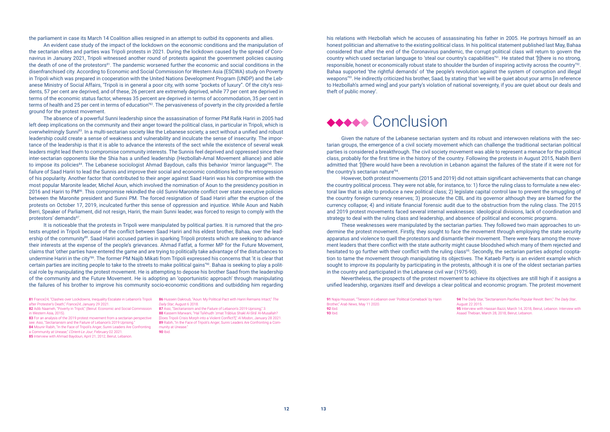the parliament in case its March 14 Coalition allies resigned in an attempt to outbid its opponents and allies.

The absence of a powerful Sunni leadership since the assassination of former PM Rafik Hariri in 2005 had left deep implications on the community and their anger toward the political class, in particular in Tripoli, which is overwhelmingly Sunni<sup>83</sup>. In a multi-sectarian society like the Lebanese society, a sect without a unified and robust leadership could create a sense of weakness and vulnerability and inculcate the sense of insecurity. The importance of the leadership is that it is able to advance the interests of the sect while the existence of several weak leaders might lead them to compromise community interests. The Sunnis feel deprived and oppressed since their inter-sectarian opponents like the Shia has a unified leadership (Hezbollah-Amal Movement alliance) and able to impose its policies<sup>84</sup>. The Lebanese sociologist Ahmad Baydoun, calls this behavior 'mirror language'<sup>85</sup>. The failure of Saad Hariri to lead the Sunnis and improve their social and economic conditions led to the retrogression of his popularity. Another factor that contributed to their anger against Saad Hariri was his compromise with the most popular Maronite leader, Michel Aoun, which involved the nomination of Aoun to the presidency position in 2016 and Hariri to PM86. This compromise rekindled the old Sunni-Maronite conflict over state executive policies between the Maronite president and Sunni PM. The forced resignation of Saad Hariri after the eruption of the protests on October 17, 2019, inculcated further this sense of oppression and injustice. While Aoun and Nabih Berri, Speaker of Parliament, did not resign, Hariri, the main Sunni leader, was forced to resign to comply with the protestors' demands<sup>87</sup>.

An evident case study of the impact of the lockdown on the economic conditions and the manipulation of the sectarian elites and parties was Tripoli protests in 2021. During the lockdown caused by the spread of Coronavirus in January 2021, Tripoli witnessed another round of protests against the government policies causing the death of one of the protestors<sup>81</sup>. The pandemic worsened further the economic and social conditions in the disenfranchised city. According to Economic and Social Commission for Western Asia (ESCWA) study on Poverty in Tripoli which was prepared in cooperation with the United Nations Development Program (UNDP) and the Lebanese Ministry of Social Affairs, 'Tripoli is in general a poor city, with some "pockets of luxury". Of the city's residents, 57 per cent are deprived, and of these, 26 percent are extremely deprived, while 77 per cent are deprived in terms of the economic status factor, whereas 35 percent are deprived in terms of accommodation, 35 per cent in terms of health and 25 per cent in terms of education'82. The pervasiveness of poverty in the city provided a fertile ground for the protest movement.

It is noticeable that the protests in Tripoli were manipulated by political parties. It is rumored that the protests erupted in Tripoli because of the conflict between Saad Hariri and his eldest brother, Bahaa, over the leadership of the community<sup>88</sup>. Saad Hariri accused parties in sparking Tripoli protests which are seeking to advance their interests at the expense of the people's grievances. Ahmad Fatfat, a former MP for the Future Movement, claims that 'other parties have entered the game and are trying to politically take advantage of the disturbances to undermine Hariri in the city'89. The former PM Najib Mikati from Tripoli expressed his concerns that 'it is clear that certain parties are inciting people to take to the streets to make political gains'90. Bahaa is seeking to play a political role by manipulating the protest movement. He is attempting to depose his brother Saad from the leadership of the community and the Future Movement. He is adopting an 'opportunistic approach' through manipulating the failures of his brother to improve his community socio-economic conditions and outbidding him regarding

87 Assi, "Sectarianism and the Failure of Lebanon's 2019 Uprising" 3. 88 Kassem Marwani, "Hal Ta'khudh 'zmat Trāblus Shakl Al-Sīrā' Al-Musallah? [Does Tripoli Crisis Morph into a Violent Conflict?]," *Al Modon*, January 28 2021. 89 Rabih, "In the Face of Tripoli's Anger, Sunni Leaders Are Confronting a Community at Unease." 90 Ibid.

| 91 Najia Houssari, "Tension in Lebanon over 'Political Comeback' by Hariri<br>Brother," Arab News, May 11 2020.<br><b>92</b> Ibid. .<br><b>93</b> Ibid. | ۹۵ |
|---------------------------------------------------------------------------------------------------------------------------------------------------------|----|
|---------------------------------------------------------------------------------------------------------------------------------------------------------|----|

his relations with Hezbollah which he accuses of assassinating his father in 2005. He portrays himself as an honest politician and alternative to the existing political class. In his political statement published last May, Bahaa considered that after the end of the Coronavirus pandemic, the corrupt political class will return to govern the country which used sectarian language to 'steal our country's capabilities'91. He stated that '[t]here is no strong, responsible, honest or economically robust state to shoulder the burden of inspiring activity across the country'92. Bahaa supported 'the rightful demands' of 'the people's revolution against the system of corruption and illegal weapons'93. He indirectly criticized his brother, Saad, by stating that 'we will be quiet about your arms [in reference to Hezbollah's armed wing] and your party's violation of national sovereignty, if you are quiet about our deals and theft of public money'.

### $\leftrightarrow\bullet\bullet$  Conclusion

Given the nature of the Lebanese sectarian system and its robust and interwoven relations with the sectarian groups, the emergence of a civil society movement which can challenge the traditional sectarian political parties is considered a breakthrough. The civil society movement was able to represent a menace for the political class, probably for the first time in the history of the country. Following the protests in August 2015, Nabih Berri admitted that '[t]here would have been a revolution in Lebanon against the failures of the state if it were not for the country's sectarian nature'94.

However, both protest movements (2015 and 2019) did not attain significant achievements that can change the country political process. They were not able, for instance, to: 1) force the ruling class to formulate a new electoral law that is able to produce a new political class; 2) legislate capital control law to prevent the smuggling of the country foreign currency reserves; 3) prosecute the CBL and its governor although they are blamed for the currency collapse; 4) and initiate financial forensic audit due to the obstruction from the ruling class. The 2015 and 2019 protest movements faced several internal weaknesses: ideological divisions, lack of coordination and strategy to deal with the ruling class and leadership, and absence of political and economic programs.

These weaknesses were manipulated by the sectarian parties. They followed two main approaches to undermine the protest movement. Firstly, they sought to face the movement through employing the state security apparatus and violence to quell the protestors and dismantle their movement. There were fears among the movement leaders that there conflict with the state authority might cause bloodshed which many of them rejected and hesitated to go further with their conflict with the ruling class<sup>95</sup>. Secondly, the sectarian parties adopted cooptation to tame the movement through manipulating its objectives. The Kataeb Party is an evident example which sought to improve its popularity by participating in the protests, although it is one of the oldest sectarian parties in the country and participated in the Lebanese civil war (1975-90).

Nevertheless, the prospects of the protest movement to achieve its objectives are still high if it assigns a unified leadership, organizes itself and develops a clear political and economic program. The protest movement

86 Hussein Dakroub, "Aoun: My Political Pact with Hariri Remains Intact," *The Daily Star*, August 6 2018.

<sup>81</sup> France24, "Clashes over Lockdowns, Inequality Escalate in Lebanon's Tripoli after Protester's Death," *France24*, January 29 2021. 82 Adib Naameh, "Poverty in Tripoli," (Beirut: Economic and Social Commission

<sup>83</sup> For an analysis of the 2019 protest movement from a sectarian perspective see: Assi, "Sectarianism and the Failure of Lebanon's 2019 Uprising. 84 Mounir Rabih, "In the Face of Tripoli's Anger, Sunni Leaders Are Confronting a Community at Unease," *L'Orient-Le Jour*, February 02 2021.

<sup>85</sup> Interview with Ahmad Baydoun, April 21, 2012, Beirut, Lebanon.

in Western Asia, 2015).

<sup>94</sup> The Daily Star, "Sectarianism Pacifies Popular Revolt: Berri," *The Daily Star*, August 22 2015.

<sup>5</sup> Interview with Hassan Bazzi, March 14, 2018, Beirut, Lebanon, Interview with saad Thebian, March 28, 2018, Beirut, Lebanon.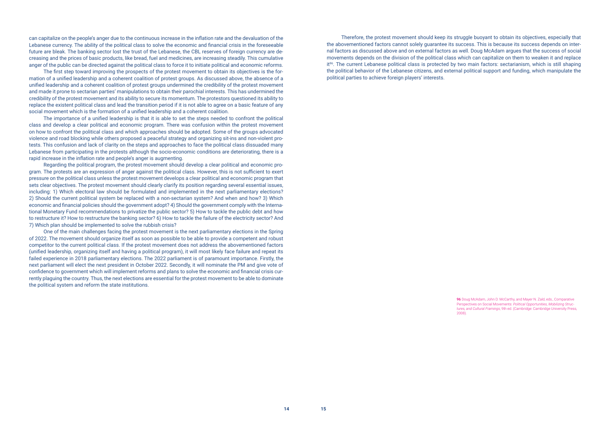can capitalize on the people's anger due to the continuous increase in the inflation rate and the devaluation of the Lebanese currency. The ability of the political class to solve the economic and financial crisis in the foreseeable future are bleak. The banking sector lost the trust of the Lebanese, the CBL reserves of foreign currency are decreasing and the prices of basic products, like bread, fuel and medicines, are increasing steadily. This cumulative anger of the public can be directed against the political class to force it to initiate political and economic reforms.

The first step toward improving the prospects of the protest movement to obtain its objectives is the formation of a unified leadership and a coherent coalition of protest groups. As discussed above, the absence of a unified leadership and a coherent coalition of protest groups undermined the credibility of the protest movement and made it prone to sectarian parties' manipulations to obtain their parochial interests. This has undermined the credibility of the protest movement and its ability to secure its momentum. The protestors questioned its ability to replace the existent political class and lead the transition period if it is not able to agree on a basic feature of any social movement which is the formation of a unified leadership and a coherent coalition.

The importance of a unified leadership is that it is able to set the steps needed to confront the political class and develop a clear political and economic program. There was confusion within the protest movement on how to confront the political class and which approaches should be adopted. Some of the groups advocated violence and road blocking while others proposed a peaceful strategy and organizing sit-ins and non-violent protests. This confusion and lack of clarity on the steps and approaches to face the political class dissuaded many Lebanese from participating in the protests although the socio-economic conditions are deteriorating, there is a rapid increase in the inflation rate and people's anger is augmenting.

Regarding the political program, the protest movement should develop a clear political and economic program. The protests are an expression of anger against the political class. However, this is not sufficient to exert pressure on the political class unless the protest movement develops a clear political and economic program that sets clear objectives. The protest movement should clearly clarify its position regarding several essential issues, including: 1) Which electoral law should be formulated and implemented in the next parliamentary elections? 2) Should the current political system be replaced with a non-sectarian system? And when and how? 3) Which economic and financial policies should the government adopt? 4) Should the government comply with the International Monetary Fund recommendations to privatize the public sector? 5) How to tackle the public debt and how to restructure it? How to restructure the banking sector? 6) How to tackle the failure of the electricity sector? And 7) Which plan should be implemented to solve the rubbish crisis?

One of the main challenges facing the protest movement is the next parliamentary elections in the Spring of 2022. The movement should organize itself as soon as possible to be able to provide a competent and robust competitor to the current political class. If the protest movement does not address the abovementioned factors (unified leadership, organizing itself and having a political program), it will most likely face failure and repeat its failed experience in 2018 parliamentary elections. The 2022 parliament is of paramount importance. Firstly, the next parliament will elect the next president in October 2022. Secondly, it will nominate the PM and give vote of confidence to government which will implement reforms and plans to solve the economic and financial crisis currently plaguing the country. Thus, the next elections are essential for the protest movement to be able to dominate the political system and reform the state institutions.

Therefore, the protest movement should keep its struggle buoyant to obtain its objectives, especially that the abovementioned factors cannot solely guarantee its success. This is because its success depends on internal factors as discussed above and on external factors as well. Doug McAdam argues that the success of social movements depends on the division of the political class which can capitalize on them to weaken it and replace it<sup>96</sup>. The current Lebanese political class is protected by two main factors: sectarianism, which is still shaping the political behavior of the Lebanese citizens, and external political support and funding, which manipulate the political parties to achieve foreign players' interests.

96 Doug McAdam, John D. McCarthy, and Mayer N. Zald, eds., Comparative Perspectives on Social Movements: *Political Opportunities, Mobilizing Structures, and Cultural Framings*, 9th ed. (Cambridge: Cambridge University Press,